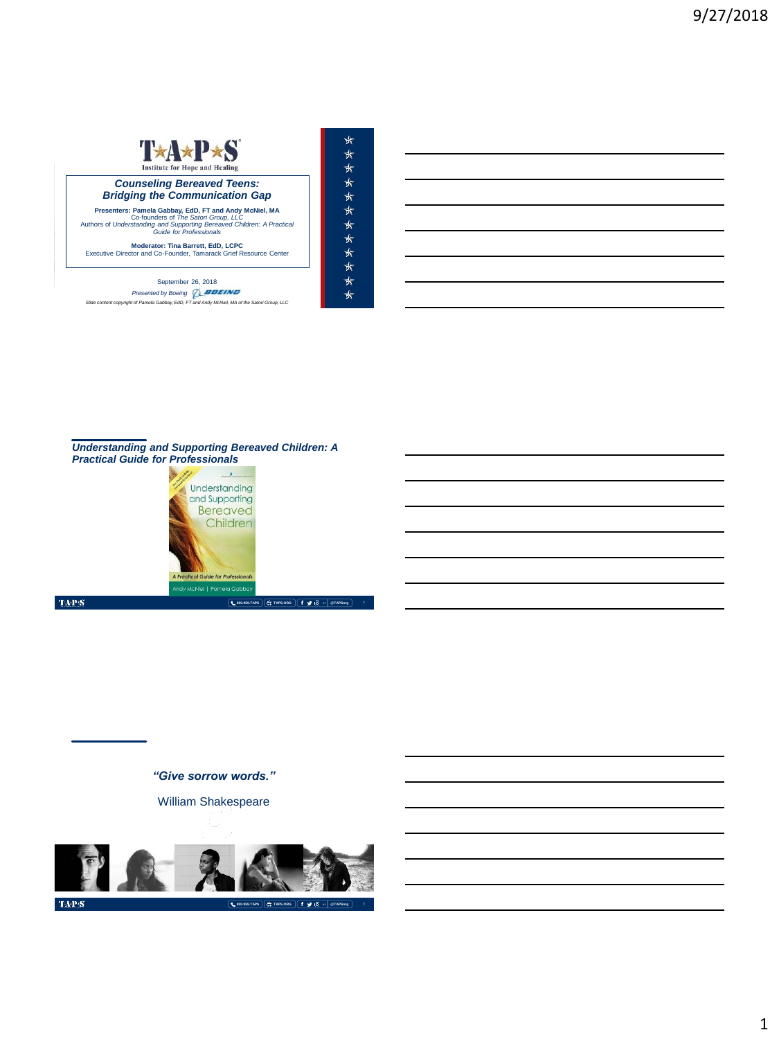

September 26, 2018 *Presented by Boeing Slide content copyright of Pamela Gabbay, EdD, FT and Andy McNiel, MA of the Satori Group, LLC*



*Understanding and Supporting Bereaved Children: A Practical Guide for Professionals*



 $\mathrm{TAPS}$ 

*"Give sorrow words."*

William Shakespeare



 $\mbox{TA-PS}$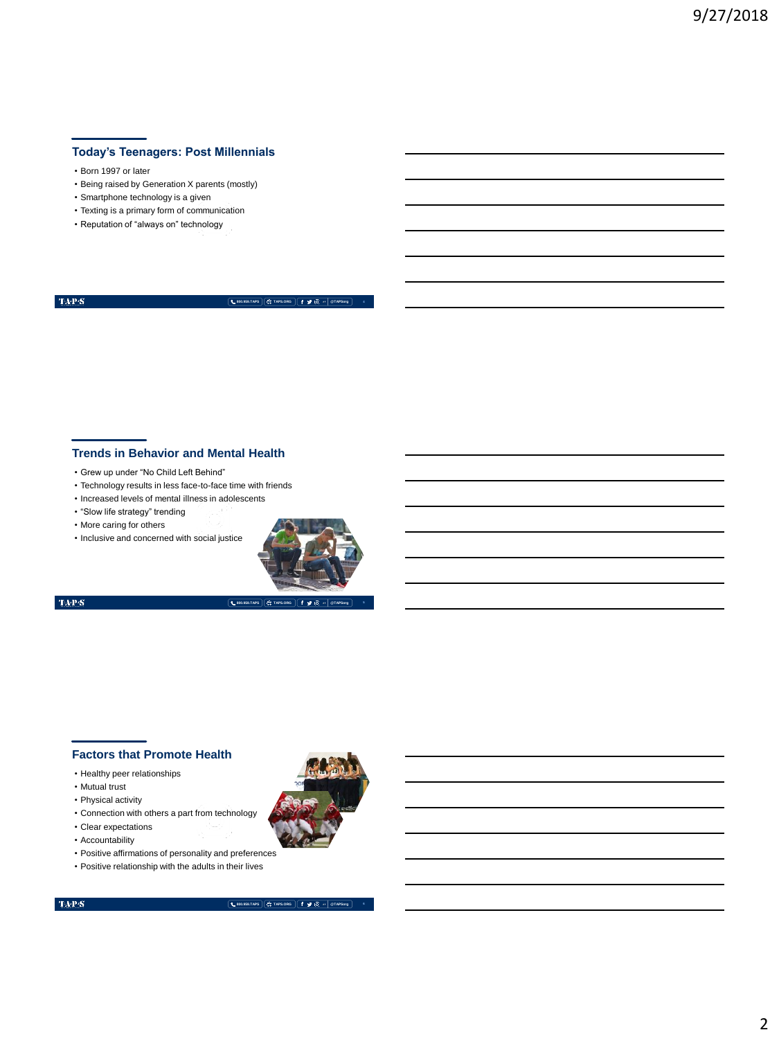## **Today's Teenagers: Post Millennials**

- Born 1997 or later
- Being raised by Generation X parents (mostly)
- Smartphone technology is a given
- Texting is a primary form of communication
- Reputation of "always on" technology

 $\langle \mathbf{T} \mathbf{A} \mathbf{P} \mathbf{S} \rangle$ 

**800.959.TAPS TAPS.ORG @TAPSorg 4**

### **Trends in Behavior and Mental Health**

- Grew up under "No Child Left Behind"
- Technology results in less face-to-face time with friends
- Increased levels of mental illness in adolescents
- "Slow life strategy" trending
- More caring for others
- Inclusive and concerned with social justice



**800.959.TAPS TAPS.ORG @TAPSorg**

 $\mathrm{TAP}S$ 

## **Factors that Promote Health**

- Healthy peer relationships
- Mutual trust
- Physical activity
- Connection with others a part from technology
- Clear expectations
- Accountability
- Positive affirmations of personality and preferences
- Positive relationship with the adults in their lives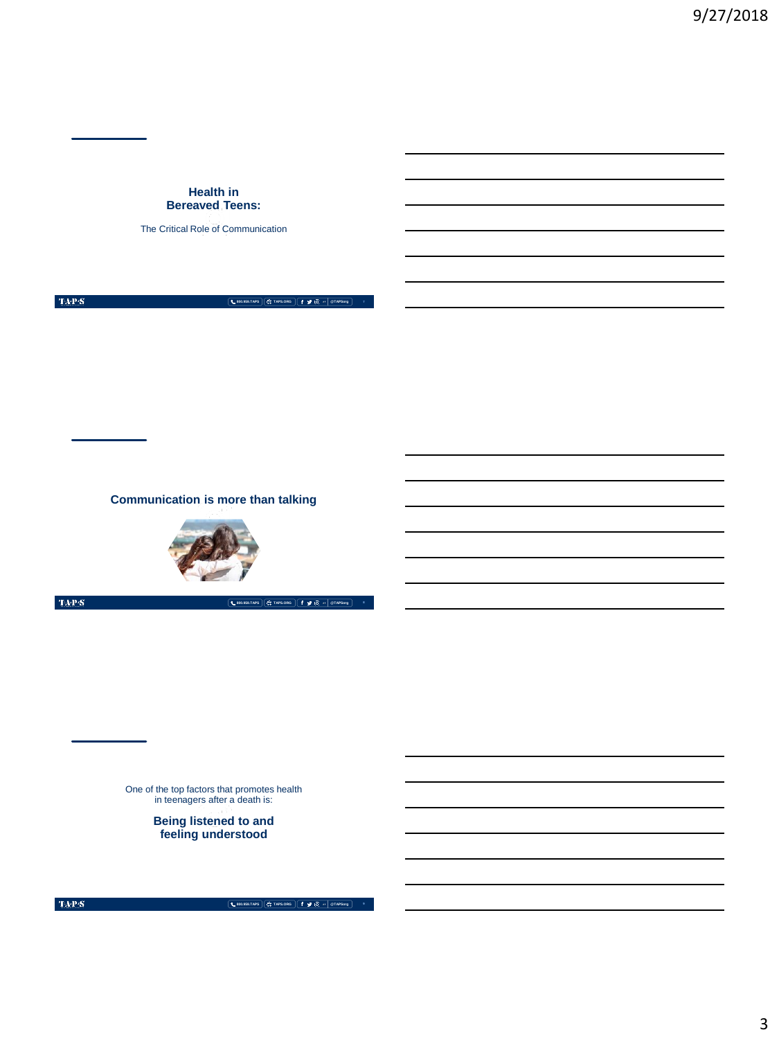### **Health in Bereaved Teens:**

The Critical Role of Communication

 $\mbox{TAPS}$ 

**800.959.TAPS**  $\left[\begin{array}{ccc} \leftarrow & \text{800.959.774PS} \end{array}\right]$ 

**Communication is more than talking**



 $\mathrm{TaP}\mathcal{S}$ 

**800.959.TAPS TAPS.ORG @TAPSorg**

One of the top factors that promotes health in teenagers after a death is:

**Being listened to and feeling understood**

 $\mbox{TAPS}$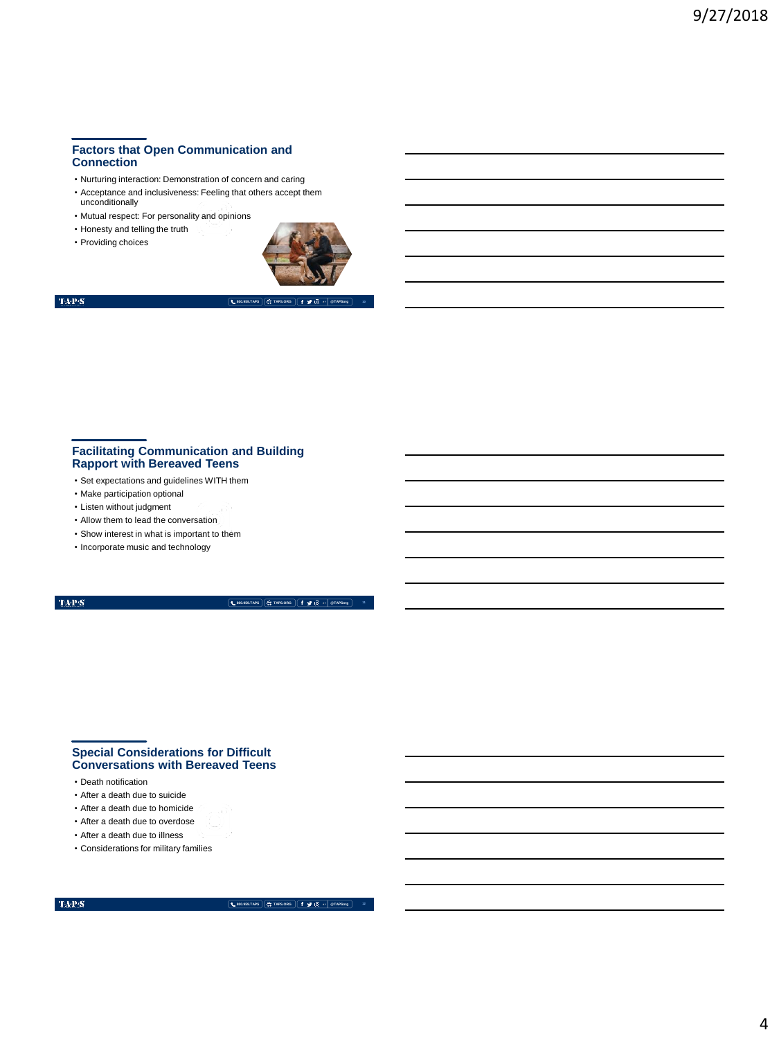## **Factors that Open Communication and Connection**

- Nurturing interaction: Demonstration of concern and caring
- Acceptance and inclusiveness: Feeling that others accept them unconditionally
- Mutual respect: For personality and opinions • Honesty and telling the truth
- Providing choices



## $\mathbf{TAP}\mathbf{S}$

**800.959.TAPS TAPS.ORG @TAPSorg**

### **Facilitating Communication and Building Rapport with Bereaved Teens**

- Set expectations and guidelines WITH them
- Make participation optional
- Listen without judgment
- Allow them to lead the conversation
- Show interest in what is important to them
- Incorporate music and technology

#### $\mathrm{TAP}S$

**800.959.TAPS TAPS.ORG @TAPSorg**

### **Special Considerations for Difficult Conversations with Bereaved Teens**

- Death notification
- After a death due to suicide
- After a death due to homicide
- After a death due to overdose
- After a death due to illness
- Considerations for military families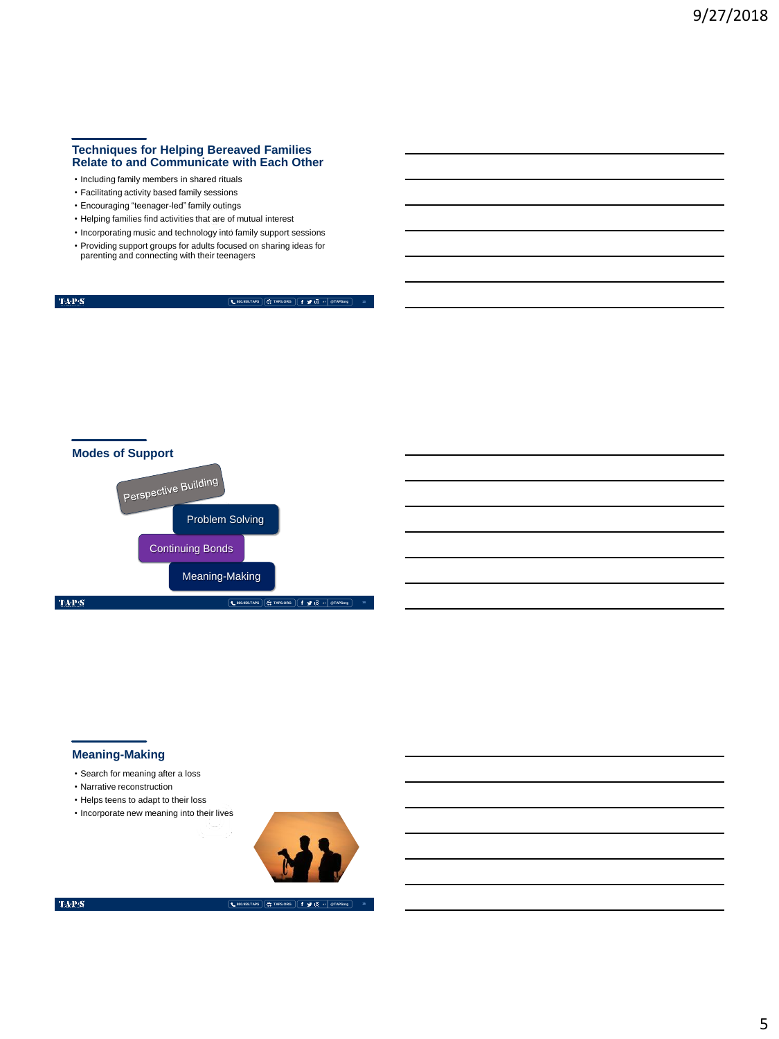### **Techniques for Helping Bereaved Families Relate to and Communicate with Each Other**

- Including family members in shared rituals
- Facilitating activity based family sessions
- Encouraging "teenager-led" family outings
- Helping families find activities that are of mutual interest
- Incorporating music and technology into family support sessions • Providing support groups for adults focused on sharing ideas for parenting and connecting with their teenagers

**800.959.TAPS TAPS.ORG @TAPSorg**



## **Meaning-Making**

- Search for meaning after a loss
- Narrative reconstruction
- Helps teens to adapt to their loss
- Incorporate new meaning into their lives



 $\mbox{TA-PS}$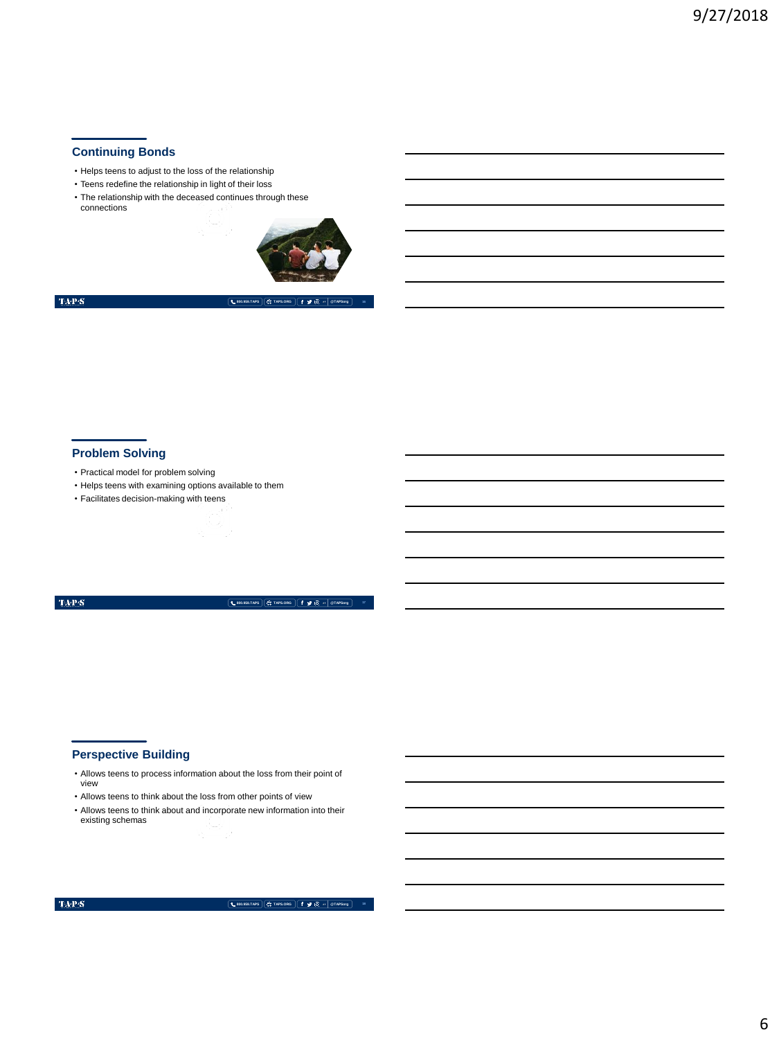## **Continuing Bonds**

- Helps teens to adjust to the loss of the relationship
- Teens redefine the relationship in light of their loss
- The relationship with the deceased continues through these connections



 $\langle \mathbf{T} \mathbf{A} \mathbf{P} \mathbf{S} \rangle$ 

**800.959.TAPS TAPS.ORG @TAPSorg**

### **Problem Solving**

- Practical model for problem solving
- Helps teens with examining options available to them
- Facilitates decision-making with teens

#### $\mathrm{TAP}S$

**800.959.TAPS TAPS.ORG @TAPSorg**

## **Perspective Building**

- Allows teens to process information about the loss from their point of view
- Allows teens to think about the loss from other points of view
- Allows teens to think about and incorporate new information into their existing schemas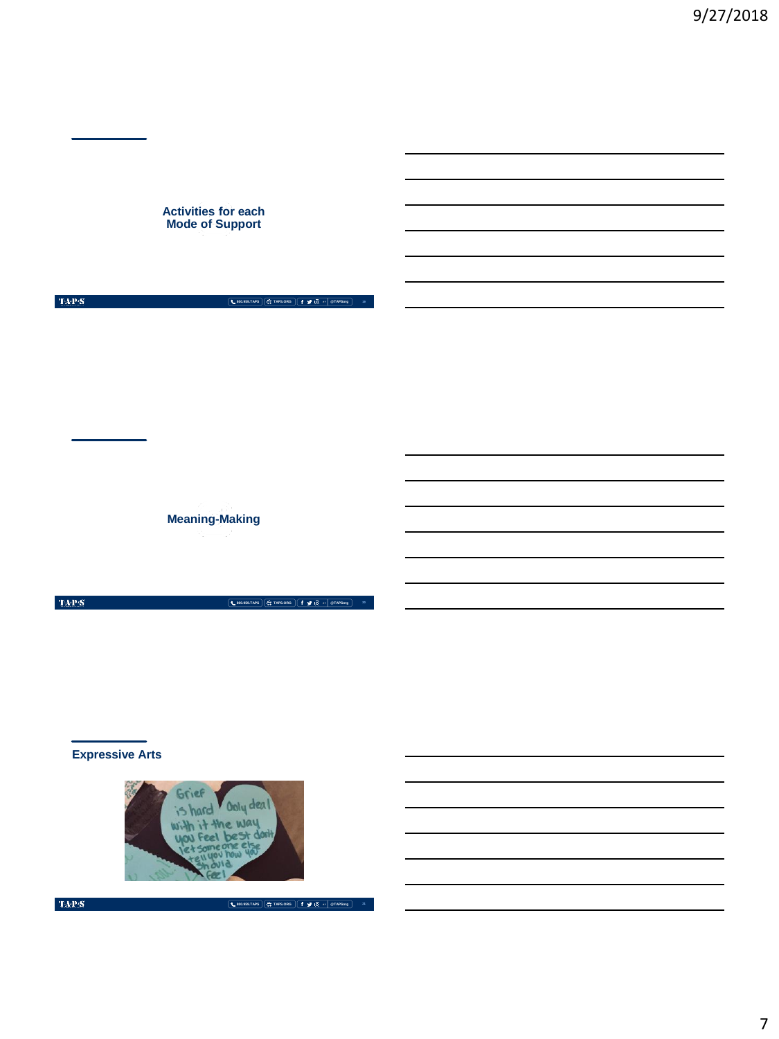**Activities for each Mode of Support**

 $\mbox{TA-PS}^-$ 

**800.959.TAPS TAPS.ORG @TAPSorg 19**

**Meaning-Making**

TAP:S **800.959.TAPS TAPS.ORG @TAPSorg 20**

**Expressive Arts**



 $\mbox{TA-PS}$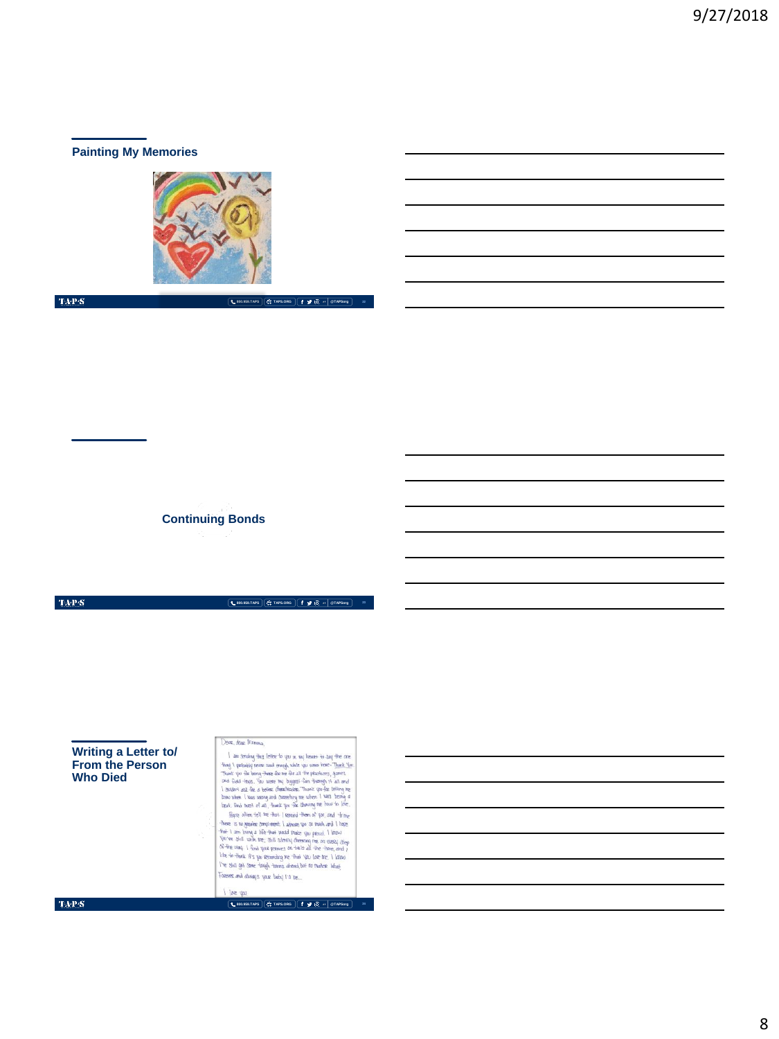# **Painting My Memories**



 $\langle \mathbf{T} \mathbf{A} \mathbf{P} \mathbf{S} \rangle$ 

**800.959.TAPS TAPS.ORG @TAPSorg 22**

**Continuing Bonds**

 $\langle \mathbf{T} \mathbf{A} \mathbf{P} \mathbf{S} \rangle$ 

**800.959.TAPS TAPS.ORG @TAPSorg**

Dese, dese Momma, Deser, deze Primma, <br>
2008, deze Primma, <br>
2008, deze Primma (1918) here for que un pay beaset for due the context space for<br>
1000 space primes for the context space for the space of the space of<br>
The space of the space o **Writing a Letter to/ From the Person Who Died** Foresse and always your beby I'll be... I love you  $\mbox{TAPS}$ **800.959.TAPS TAPS.ORG @TAPSorg 24**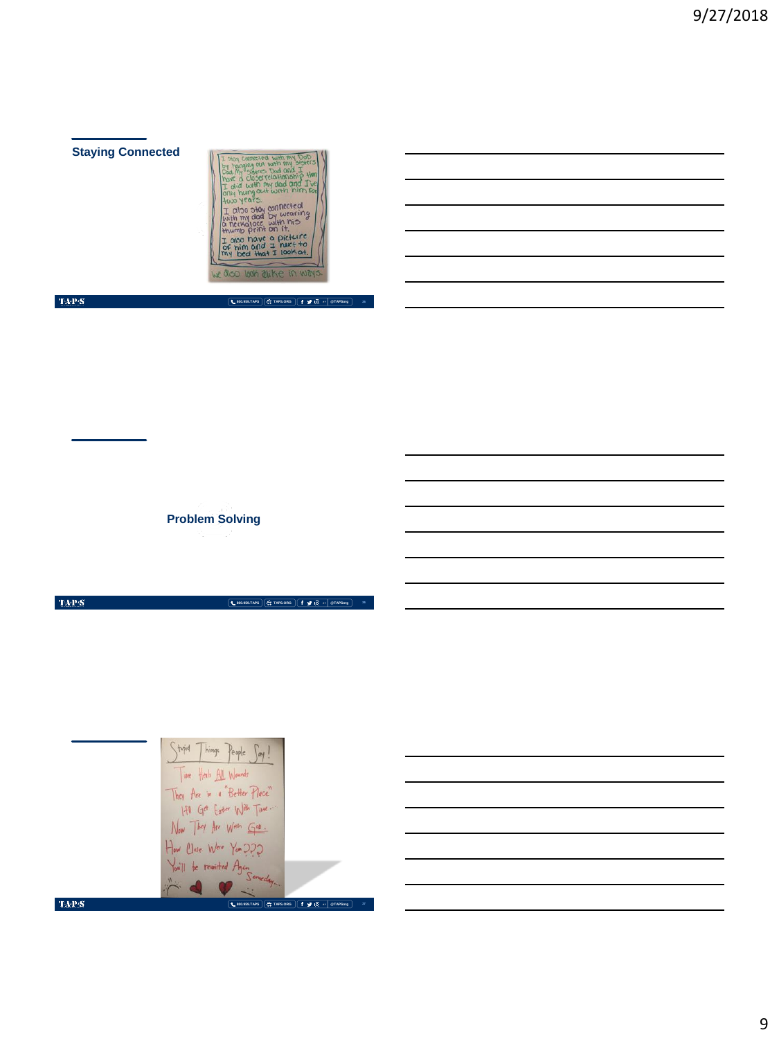# **Staying Connected**



## $\langle \ensuremath{\mathrm{TAP}}\xspace\ensuremath{\mathcal{S}}\xspace\rangle$

**800.959.TAPS TAPS.ORG @TAPSorg 25**

**800.959.TAPS TAPS.ORG @TAPSorg**

**Problem Solving**

 $\mbox{TaP}{S}$ 

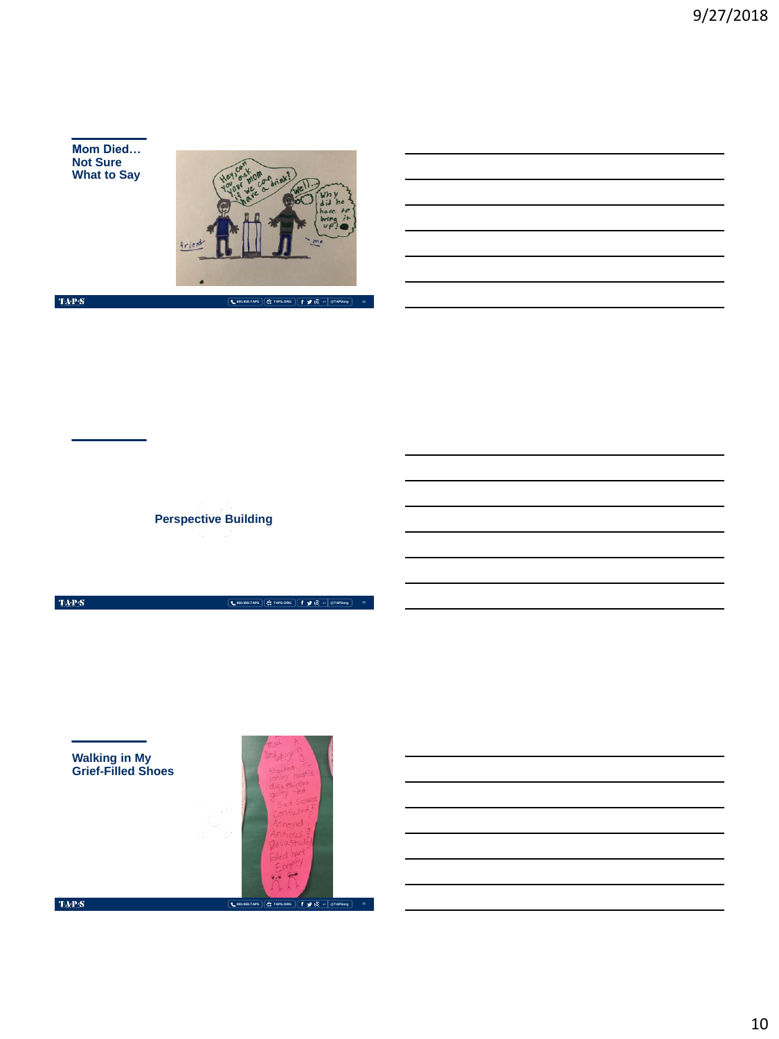**Mom Died… Not Sure What to Say**



 $\langle \ensuremath{\mathrm{TAP}}\xspace\ensuremath{\mathcal{S}}\xspace\rangle$ 

**800.959.TAPS TAPS.ORG @TAPSorg 28**

**Perspective Building**

 $\langle \ensuremath{\mathrm{TAPS}}\xspace \rangle$ 

**Walking in My Grief-Filled Shoes**



**800.959.TAPS TAPS.ORG @TAPSorg**

**29**

 $\langle \mathbf{T} \mathbf{A} \mathbf{P} \mathbf{S} \rangle$ 

10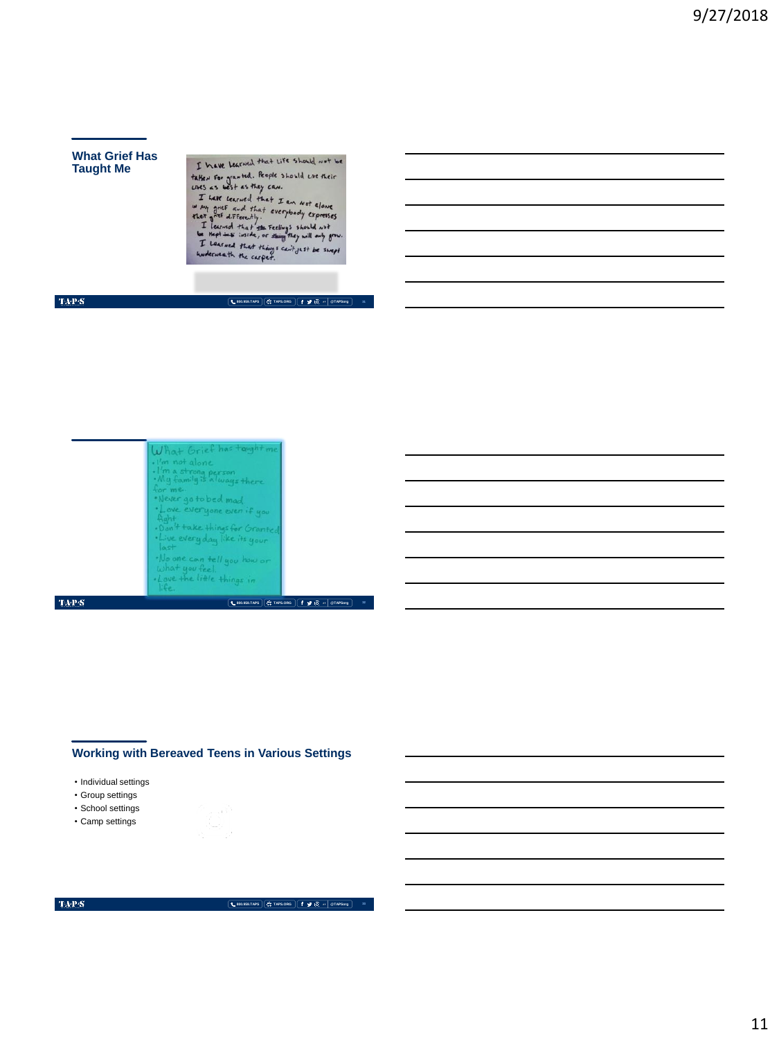### **What Grief Has Taught Me**

I have Learned that Life should not be

I have learned that life should not be<br>talked for granted. Reple should use their<br>units as best as they can.<br>That cerned that I an *not* alone<br>they got differently.<br>Thermal that the serious should not be<br>a meptime in the p

## $\langle \mathbf{T} \mathbf{A} \mathbf{P} \mathbf{S} \rangle$

**800.959.TAPS TAPS.ORG @TAPSorg**



## **Working with Bereaved Teens in Various Settings**

- Individual settings
- Group settings
- School settings
- Camp settings

### $\mbox{TAPS}$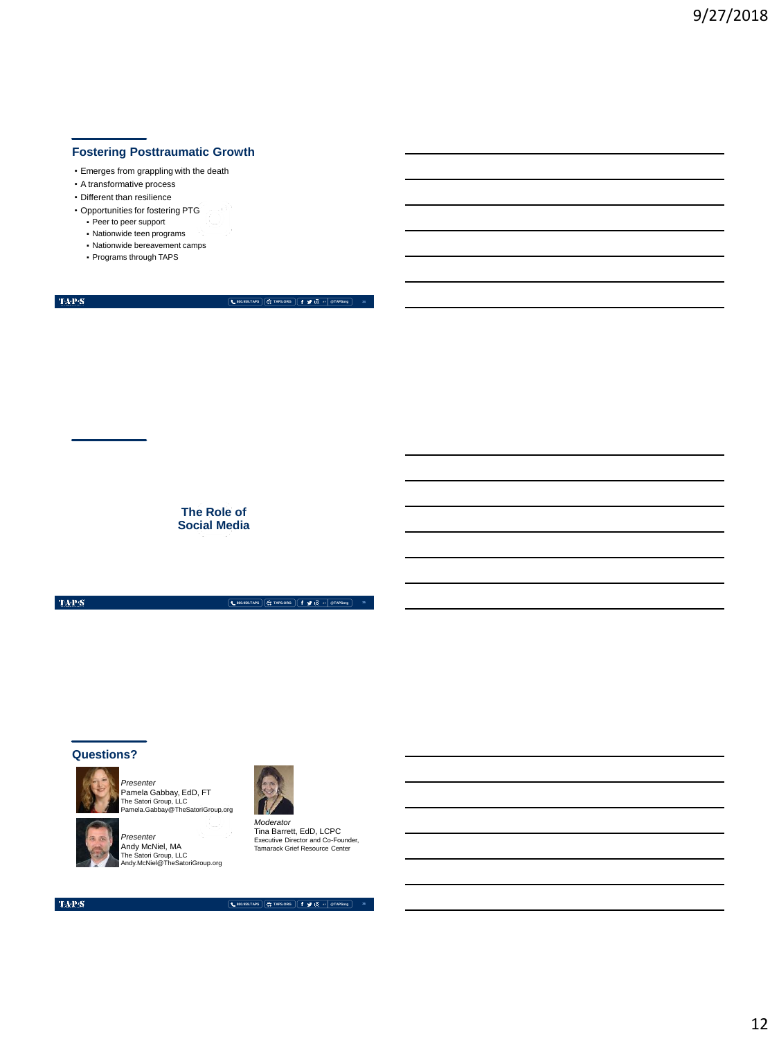## **Fostering Posttraumatic Growth**

- Emerges from grappling with the death
- A transformative process
- Different than resilience
- Opportunities for fostering PTG
	- Peer to peer support
	- Nationwide teen programs
	- Nationwide bereavement camps
	- Programs through TAPS

 $\mbox{TAPS}$ 

**800.959.TAPS TAPS.ORG @TAPSorg**

**The Role of Social Media**

 $\langle \mathbf{T} \mathbf{A} \mathbf{P} \mathbf{S} \rangle$ 

**800.959.TAPS TAPS.ORG @TAPSorg**

## **Questions?**



*Presenter* Pamela Gabbay, EdD, FT The Satori Group, LLC Pamela.Gabbay@TheSatoriGroup.org



*Presenter*<br>Andy McNiel, MA<br>The Satori Group, LLC<br>Andy.McNiel@TheSatoriGroup.org



Tina Barrett, EdD, LCPC Executive Director and Co-Founder, Tamarack Grief Resource Center

 $\langle \ensuremath{\text{TA-P-S}}\xspace \rangle$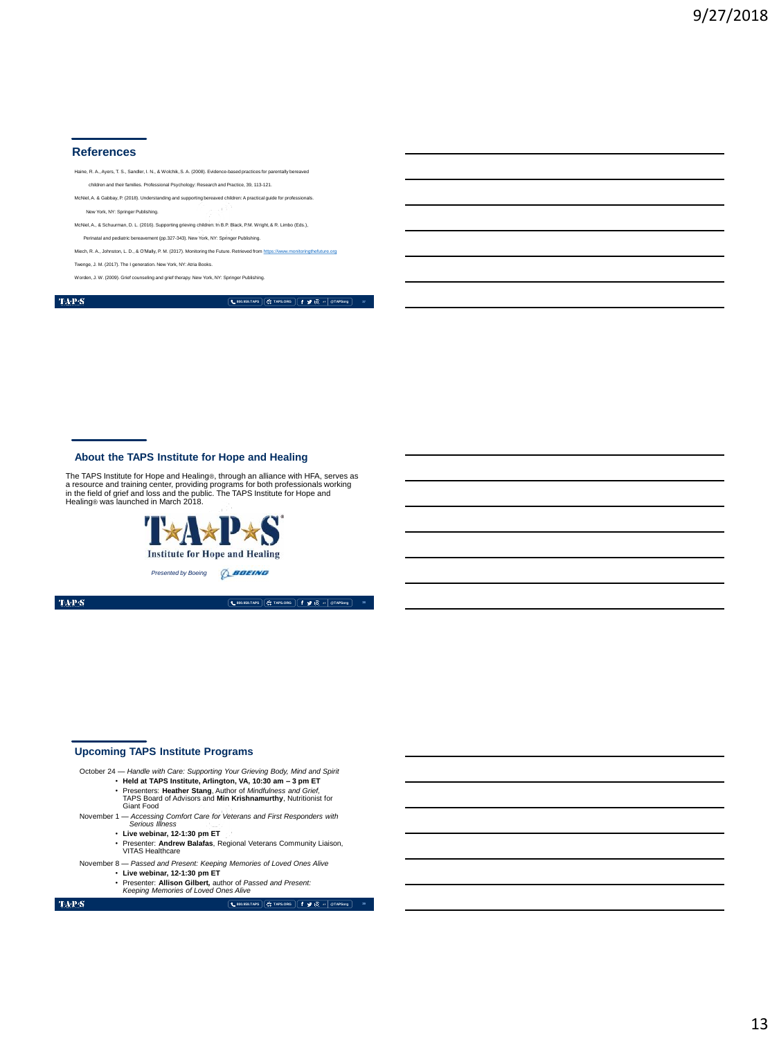#### **References**

Haine, R. A., Ayers, T. S., Sandler, I. N., & Wolchik, S. A. (2008). Evidence-based practices for parentally be children and their families. Professional Psychology: Research and Practice, 39, 113-121. McNiel, A. & Gabbay, P. (2018). Understanding and supporting bereaved children: A practical guide for profe New York, NY: Springer Publishing. McNiel, A., & Schuurman, D. L. (2016). Supporting grieving children. In B.P. Black, P.M. Wright, & R. Limbo (Eds.), Perinatal and pediatric bereavement (pp.327-343). New York, NY: Springer Publishing.

Miech, R. A., Johnston, L. D., & O'Mally, P. M. (2017). Monitoring the Future. Retrieved from [https://www.monitoringthefuture.org](https://www.monitoringthefuture.org/) Twenge, J. M. (2017). The I generation. New York, NY: Atria Books.

rden, J. W. (2009). Grief counseling and grief therapy. New York, NY: Springer Publi

 $\mathrm{TAP}S$ 

**800.959.TAPS TAPS.ORG @TAPSorg**

### **About the TAPS Institute for Hope and Healing**

The TAPS Institute for Hope and Healing®, through an alliance with HFA, serves as<br>a resource and training center, providing programs for both professionals working<br>in the field of grief and loss and the public. The TAPS In



TAP $\mathbf S$ 

**800.959.TAPS TAPS.ORG @TAPSorg**

### **Upcoming TAPS Institute Programs**

October 24 — *Handle with Care: Supporting Your Grieving Body, Mind and Spirit*

- **Held at TAPS Institute, Arlington, VA, 10:30 am – 3 pm ET** Presenters: **Heather Stang**, Author of *Mindfulness and Grief,*  TAPS Board of Advisors and **Min Krishnamurthy**, Nutritionist for
- Giant Food November 1 — *Accessing Comfort Care for Veterans and First Responders with Serious Illness*
	- **Live webinar, 12-1:30 pm ET**
	- Presenter: **Andrew Balafas**, Regional Veterans Community Liaison, VITAS Healthcare
- November 8 *Passed and Present: Keeping Memories of Loved Ones Alive*
	- **Live webinar, 12-1:30 pm ET** • Presenter: **Allison Gilbert***,* author of *Passed and Present: Keeping Memories of Loved Ones Alive*

 $\mbox{TA-PS}$